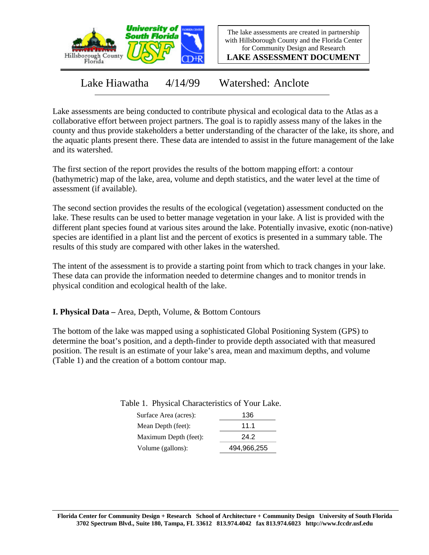

The lake assessments are created in partnership with Hillsborough County and the Florida Center for Community Design and Research

**LAKE ASSESSMENT DOCUMENT**

Lake Hiawatha 4/14/99 Watershed: Anclote

Lake assessments are being conducted to contribute physical and ecological data to the Atlas as a collaborative effort between project partners. The goal is to rapidly assess many of the lakes in the county and thus provide stakeholders a better understanding of the character of the lake, its shore, and the aquatic plants present there. These data are intended to assist in the future management of the lake and its watershed.

The first section of the report provides the results of the bottom mapping effort: a contour (bathymetric) map of the lake, area, volume and depth statistics, and the water level at the time of assessment (if available).

The second section provides the results of the ecological (vegetation) assessment conducted on the lake. These results can be used to better manage vegetation in your lake. A list is provided with the different plant species found at various sites around the lake. Potentially invasive, exotic (non-native) species are identified in a plant list and the percent of exotics is presented in a summary table. The results of this study are compared with other lakes in the watershed.

The intent of the assessment is to provide a starting point from which to track changes in your lake. These data can provide the information needed to determine changes and to monitor trends in physical condition and ecological health of the lake.

**I. Physical Data –** Area, Depth, Volume, & Bottom Contours

The bottom of the lake was mapped using a sophisticated Global Positioning System (GPS) to determine the boat's position, and a depth-finder to provide depth associated with that measured position. The result is an estimate of your lake's area, mean and maximum depths, and volume (Table 1) and the creation of a bottom contour map.

Table 1. Physical Characteristics of Your Lake.

| Surface Area (acres): | 136         |  |  |
|-----------------------|-------------|--|--|
| Mean Depth (feet):    | 111         |  |  |
| Maximum Depth (feet): | 24.2        |  |  |
| Volume (gallons):     | 494,966,255 |  |  |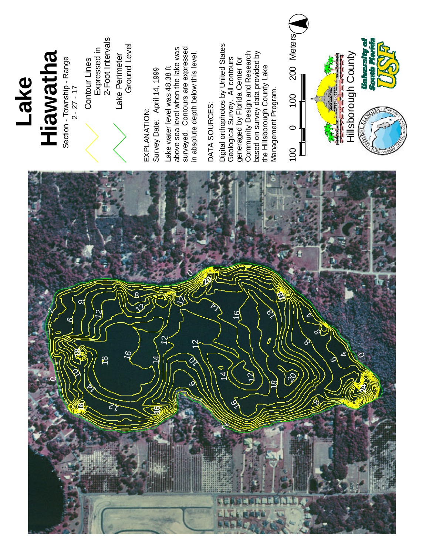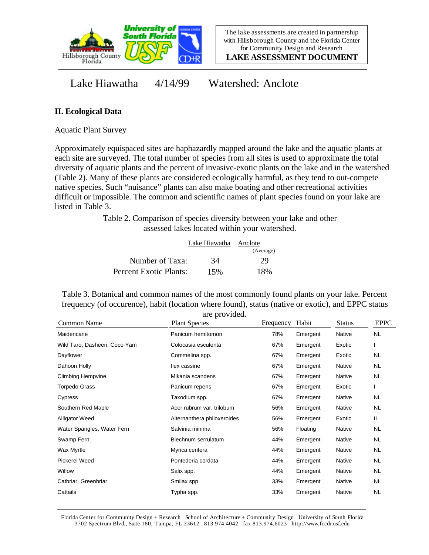

The lake assessments are created in partnership with Hillsborough County and the Florida Center for Community Design and Research

**LAKE ASSESSMENT DOCUMENT**

Lake Hiawatha 4/14/99 Watershed: Anclote

## **II. Ecological Data**

Aquatic Plant Survey

Approximately equispaced sites are haphazardly mapped around the lake and the aquatic plants at each site are surveyed. The total number of species from all sites is used to approximate the total diversity of aquatic plants and the percent of invasive-exotic plants on the lake and in the watershed (Table 2). Many of these plants are considered ecologically harmful, as they tend to out-compete native species. Such "nuisance" plants can also make boating and other recreational activities difficult or impossible. The common and scientific names of plant species found on your lake are listed in Table 3.

> Table 2. Comparison of species diversity between your lake and other assessed lakes located within your watershed.

|                        | Lake Hiawatha Anclote |           |  |
|------------------------|-----------------------|-----------|--|
|                        |                       | (Average) |  |
| Number of Taxa:        | 34                    | 29        |  |
| Percent Exotic Plants: | 15%                   | 18%       |  |

Table 3. Botanical and common names of the most commonly found plants on your lake. Percent frequency (of occurence), habit (location where found), status (native or exotic), and EPPC status are provided.

| Common Name                  | <b>Plant Species</b>        | Frequency | Habit    | <b>Status</b> | <b>EPPC</b> |
|------------------------------|-----------------------------|-----------|----------|---------------|-------------|
| Maidencane                   | Panicum hemitomon           | 78%       | Emergent | Native        | <b>NL</b>   |
| Wild Taro, Dasheen, Coco Yam | Colocasia esculenta         | 67%       | Emergent | Exotic        |             |
| Dayflower                    | Commelina spp.              | 67%       | Emergent | Exotic        | <b>NL</b>   |
| Dahoon Holly                 | llex cassine                | 67%       | Emergent | Native        | NL          |
| <b>Climbing Hempvine</b>     | Mikania scandens            | 67%       | Emergent | Native        | <b>NL</b>   |
| Torpedo Grass                | Panicum repens              | 67%       | Emergent | Exotic        | I.          |
| Cypress                      | Taxodium spp.               | 67%       | Emergent | Native        | <b>NL</b>   |
| Southern Red Maple           | Acer rubrum var. trilobum   | 56%       | Emergent | Native        | <b>NL</b>   |
| <b>Alligator Weed</b>        | Alternanthera philoxeroides | 56%       | Emergent | Exotic        | Ш           |
| Water Spangles, Water Fern   | Salvinia minima             | 56%       | Floating | Native        | <b>NL</b>   |
| Swamp Fern                   | Blechnum serrulatum         | 44%       | Emergent | Native        | NL          |
| Wax Myrtle                   | Myrica cerifera             | 44%       | Emergent | Native        | <b>NL</b>   |
| <b>Pickerel Weed</b>         | Pontederia cordata          | 44%       | Emergent | Native        | <b>NL</b>   |
| Willow                       | Salix spp.                  | 44%       | Emergent | Native        | <b>NL</b>   |
| Catbriar, Greenbriar         | Smilax spp.                 | 33%       | Emergent | Native        | <b>NL</b>   |
| Cattails                     | Typha spp.                  | 33%       | Emergent | Native        | <b>NL</b>   |

Florida Center for Community Design + Research School of Architecture + Community Design University of South Florida 3702 Spectrum Blvd., Suite 180, Tampa, FL 33612 813.974.4042 fax 813.974.6023 http://www.fccdr.usf.edu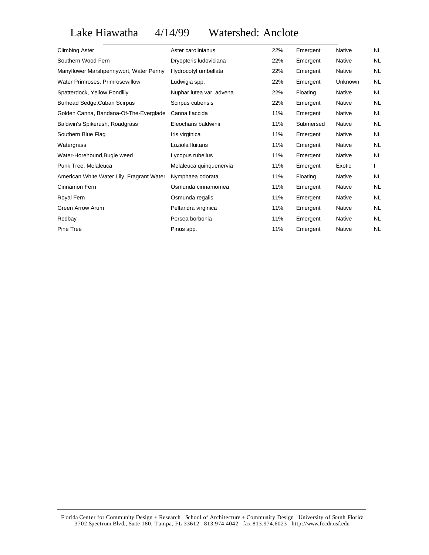Lake Hiawatha 4/14/99 Watershed: Anclote

| <b>Climbing Aster</b>                     | Aster carolinianus       | 22% | Emergent  | Native        | NL        |
|-------------------------------------------|--------------------------|-----|-----------|---------------|-----------|
| Southern Wood Fern                        | Dryopteris ludoviciana   | 22% | Emergent  | <b>Native</b> | <b>NL</b> |
| Manyflower Marshpennywort, Water Penny    | Hydrocotyl umbellata     | 22% | Emergent  | <b>Native</b> | <b>NL</b> |
| Water Primroses, Primrosewillow           | Ludwigia spp.            | 22% | Emergent  | Unknown       | <b>NL</b> |
| Spatterdock, Yellow Pondlily              | Nuphar lutea var. advena | 22% | Floating  | Native        | <b>NL</b> |
| Burhead Sedge, Cuban Scirpus              | Scirpus cubensis         | 22% | Emergent  | Native        | <b>NL</b> |
| Golden Canna, Bandana-Of-The-Everglade    | Canna flaccida           | 11% | Emergent  | Native        | <b>NL</b> |
| Baldwin's Spikerush, Roadgrass            | Eleocharis baldwinii     | 11% | Submersed | Native        | <b>NL</b> |
| Southern Blue Flag                        | Iris virginica           | 11% | Emergent  | Native        | <b>NL</b> |
| Watergrass                                | Luziola fluitans         | 11% | Emergent  | <b>Native</b> | <b>NL</b> |
| Water-Horehound, Bugle weed               | Lycopus rubellus         | 11% | Emergent  | <b>Native</b> | <b>NL</b> |
| Punk Tree, Melaleuca                      | Melaleuca quinquenervia  | 11% | Emergent  | Exotic        |           |
| American White Water Lily, Fragrant Water | Nymphaea odorata         | 11% | Floating  | Native        | <b>NL</b> |
| Cinnamon Fern                             | Osmunda cinnamomea       | 11% | Emergent  | Native        | <b>NL</b> |
| Royal Fern                                | Osmunda regalis          | 11% | Emergent  | Native        | <b>NL</b> |
| Green Arrow Arum                          | Peltandra virginica      | 11% | Emergent  | Native        | <b>NL</b> |
| Redbay                                    | Persea borbonia          | 11% | Emergent  | Native        | <b>NL</b> |
| Pine Tree                                 | Pinus spp.               | 11% | Emergent  | Native        | <b>NL</b> |